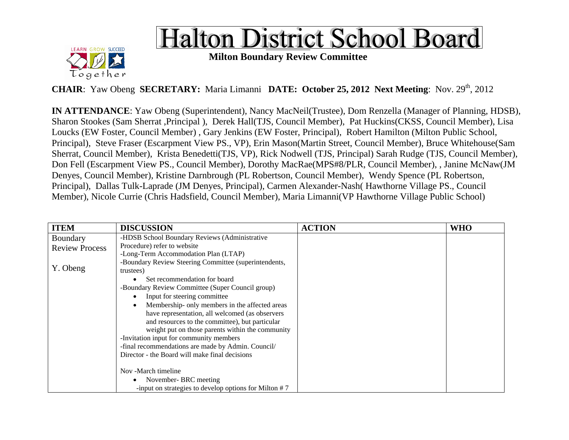



**Milton Boundary Review Committee** 

**CHAIR**: Yaw Obeng **SECRETARY:** Maria Limanni **DATE: October 25, 2012 Next Meeting**: Nov. 29<sup>th</sup>, 2012

**IN ATTENDANCE**: Yaw Obeng (Superintendent), Nancy MacNeil(Trustee), Dom Renzella (Manager of Planning, HDSB), Sharon Stookes (Sam Sherrat ,Principal ), Derek Hall(TJS, Council Member), Pat Huckins(CKSS, Council Member), Lisa Loucks (EW Foster, Council Member) , Gary Jenkins (EW Foster, Principal), Robert Hamilton (Milton Public School, Principal), Steve Fraser (Escarpment View PS., VP), Erin Mason(Martin Street, Council Member), Bruce Whitehouse(Sam Sherrat, Council Member), Krista Benedetti(TJS, VP), Rick Nodwell (TJS, Principal) Sarah Rudge (TJS, Council Member), Don Fell (Escarpment View PS., Council Member), Dorothy MacRae(MPS#8/PLR, Council Member), , Janine McNaw(JM Denyes, Council Member), Kristine Darnbrough (PL Robertson, Council Member), Wendy Spence (PL Robertson, Principal), Dallas Tulk-Laprade (JM Denyes, Principal), Carmen Alexander-Nash( Hawthorne Village PS., Council Member), Nicole Currie (Chris Hadsfield, Council Member), Maria Limanni(VP Hawthorne Village Public School)

| <b>ITEM</b>           | <b>DISCUSSION</b>                                        | <b>ACTION</b> | <b>WHO</b> |
|-----------------------|----------------------------------------------------------|---------------|------------|
| Boundary              | -HDSB School Boundary Reviews (Administrative            |               |            |
| <b>Review Process</b> | Procedure) refer to website                              |               |            |
|                       | -Long-Term Accommodation Plan (LTAP)                     |               |            |
| Y. Obeng              | -Boundary Review Steering Committee (superintendents,    |               |            |
|                       | trustees)<br>Set recommendation for board                |               |            |
|                       | -Boundary Review Committee (Super Council group)         |               |            |
|                       | Input for steering committee                             |               |            |
|                       | Membership- only members in the affected areas           |               |            |
|                       | have representation, all welcomed (as observers          |               |            |
|                       | and resources to the committee), but particular          |               |            |
|                       | weight put on those parents within the community         |               |            |
|                       | -Invitation input for community members                  |               |            |
|                       | -final recommendations are made by Admin. Council/       |               |            |
|                       | Director - the Board will make final decisions           |               |            |
|                       | Nov -March timeline                                      |               |            |
|                       | November-BRC meeting                                     |               |            |
|                       | -input on strategies to develop options for Milton $# 7$ |               |            |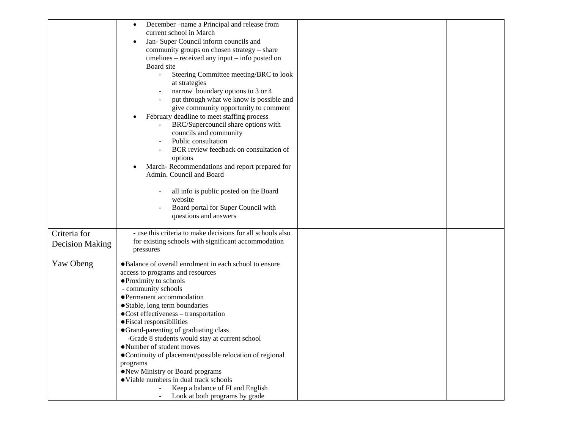|                                        | December –name a Principal and release from<br>$\bullet$<br>current school in March<br>Jan- Super Council inform councils and<br>community groups on chosen strategy - share<br>timelines – received any input – info posted on<br>Board site<br>$\omega$<br>Steering Committee meeting/BRC to look<br>at strategies<br>narrow boundary options to 3 or 4<br>put through what we know is possible and<br>give community opportunity to comment<br>February deadline to meet staffing process<br>BRC/Supercouncil share options with<br>councils and community<br>Public consultation<br>BCR review feedback on consultation of<br>options<br>March-Recommendations and report prepared for<br>Admin. Council and Board<br>all info is public posted on the Board<br>website<br>Board portal for Super Council with<br>questions and answers |  |
|----------------------------------------|---------------------------------------------------------------------------------------------------------------------------------------------------------------------------------------------------------------------------------------------------------------------------------------------------------------------------------------------------------------------------------------------------------------------------------------------------------------------------------------------------------------------------------------------------------------------------------------------------------------------------------------------------------------------------------------------------------------------------------------------------------------------------------------------------------------------------------------------|--|
| Criteria for<br><b>Decision Making</b> | - use this criteria to make decisions for all schools also<br>for existing schools with significant accommodation<br>pressures                                                                                                                                                                                                                                                                                                                                                                                                                                                                                                                                                                                                                                                                                                              |  |
| Yaw Obeng                              | *Balance of overall enrolment in each school to ensure<br>access to programs and resources<br>*Proximity to schools<br>- community schools<br>*Permanent accommodation<br>*Stable, long term boundaries<br>*Cost effectiveness - transportation<br>#Fiscal responsibilities<br>*Grand-parenting of graduating class<br>-Grade 8 students would stay at current school<br>*Number of student moves<br>*Continuity of placement/possible relocation of regional<br>programs<br>*New Ministry or Board programs<br>*Viable numbers in dual track schools<br>Keep a balance of FI and English<br>Look at both programs by grade                                                                                                                                                                                                                 |  |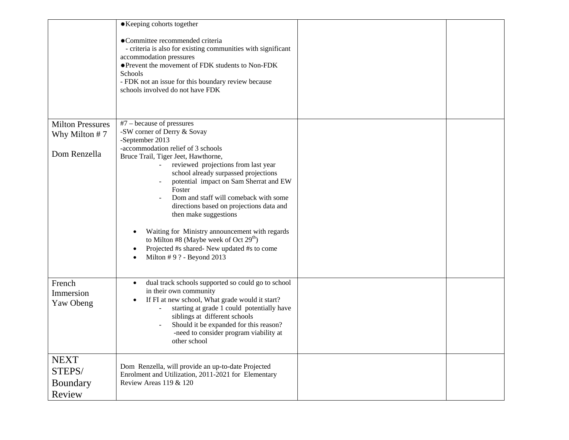|                                             | *Keeping cohorts together<br>#Committee recommended criteria<br>- criteria is also for existing communities with significant<br>accommodation pressures<br>*Prevent the movement of FDK students to Non-FDK<br>Schools<br>- FDK not an issue for this boundary review because<br>schools involved do not have FDK                                                                                                                                                                                                          |  |
|---------------------------------------------|----------------------------------------------------------------------------------------------------------------------------------------------------------------------------------------------------------------------------------------------------------------------------------------------------------------------------------------------------------------------------------------------------------------------------------------------------------------------------------------------------------------------------|--|
| <b>Milton Pressures</b>                     | $#7$ – because of pressures<br>-SW corner of Derry & Sovay                                                                                                                                                                                                                                                                                                                                                                                                                                                                 |  |
| Why Milton $# 7$<br>Dom Renzella            | -September 2013<br>-accommodation relief of 3 schools<br>Bruce Trail, Tiger Jeet, Hawthorne,<br>reviewed projections from last year<br>school already surpassed projections<br>potential impact on Sam Sherrat and EW<br>Foster<br>Dom and staff will comeback with some<br>directions based on projections data and<br>then make suggestions<br>Waiting for Ministry announcement with regards<br>to Milton #8 (Maybe week of Oct $29th$ )<br>Projected #s shared- New updated #s to come<br>Milton $# 9$ ? - Beyond 2013 |  |
| French<br>Immersion<br>Yaw Obeng            | dual track schools supported so could go to school<br>$\bullet$<br>in their own community<br>If FI at new school, What grade would it start?<br>starting at grade 1 could potentially have<br>siblings at different schools<br>Should it be expanded for this reason?<br>-need to consider program viability at<br>other school                                                                                                                                                                                            |  |
| <b>NEXT</b><br>STEPS/<br>Boundary<br>Review | Dom Renzella, will provide an up-to-date Projected<br>Enrolment and Utilization, 2011-2021 for Elementary<br>Review Areas 119 & 120                                                                                                                                                                                                                                                                                                                                                                                        |  |